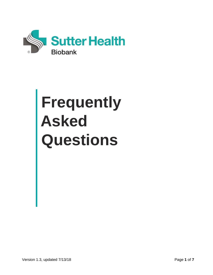

# **Frequently Asked Questions**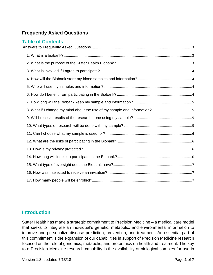# **Frequently Asked Questions**

# **Introduction**

Sutter Health has made a strategic commitment to Precision Medicine – a medical care model that seeks to integrate an individual's genetic, metabolic, and environmental information to improve and personalize disease prediction, prevention, and treatment. An essential part of this commitment is the expansion of our capabilities in support of Precision Medicine research focused on the role of genomics, metabolic, and proteomics on health and treatment. The key to a Precision Medicine research capability is the availability of biological samples for use in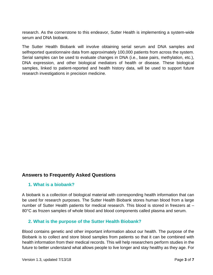research. As the cornerstone to this endeavor, Sutter Health is implementing a system-wide serum and DNA biobank.

The Sutter Health Biobank will involve obtaining serial serum and DNA samples and selfreported questionnaire data from approximately 100,000 patients from across the system. Serial samples can be used to evaluate changes in DNA (i.e., base pairs, methylation, etc.), DNA expression, and other biological mediators of health or disease. These biological samples, linked to patient-reported and health history data, will be used to support future research investigations in precision medicine.

#### <span id="page-2-0"></span>**Answers to Frequently Asked Questions**

#### <span id="page-2-1"></span>**1. What is a biobank?**

A biobank is a collection of biological material with corresponding health information that can be used for research purposes. The Sutter Health Biobank stores human blood from a large number of Sutter Health patients for medical research. This blood is stored in freezers at -80°C as frozen samples of whole blood and blood components called plasma and serum.

#### <span id="page-2-2"></span>**2. What is the purpose of the Sutter Health Biobank?**

Blood contains genetic and other important information about our health. The purpose of the Biobank is to collect and store blood samples from patients so that it can be combined with health information from their medical records. This will help researchers perform studies in the future to better understand what allows people to live longer and stay healthy as they age. For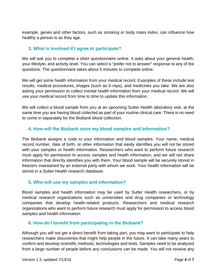example, genes and other factors, such as smoking or body mass index, can influence how healthy a person is as they age.

# <span id="page-3-0"></span>**3. What is involved if I agree to participate?**

We will ask you to complete a short questionnaire online. It asks about your general health, your lifestyle, and activity level. You can select a "prefer not to answer" response to any of the questions. The questionnaire takes about 5 minutes to complete online.

We will get some health information from your medical record. Examples of these include test results, medical procedures, images (such as X-rays), and medicines you take. We are also asking your permission to collect mental health information from your medical record. We will use your medical record from time to time to update this information.

We will collect a blood sample from you at an upcoming Sutter Health laboratory visit, at the same time you are having blood collected as part of your routine clinical care. There is no need to come in separately for the Biobank blood collection.

# <span id="page-3-1"></span>**4. How will the Biobank store my blood samples and information?**

The Biobank assigns a code to your information and blood samples. Your name, medical record number, date of birth, or other information that easily identifies you will not be stored with your samples or health information. Researchers who want to perform future research must apply for permission to access samples and health information, and we will not share information that directly identifies you with them. Your blood sample will be securely stored in freezers maintained by an external party with whom we work. Your health information will be stored in a Sutter Health research database.

#### <span id="page-3-2"></span>**5. Who will use my samples and information?**

Blood samples and health information may be used by Sutter Health researchers, or by medical research organizations such as universities and drug companies or technology companies that develop health-related products. Researchers and medical research organizations who want to perform future research must apply for permission to access blood samples and health information.

#### <span id="page-3-3"></span>**6. How do I benefit from participating in the Biobank?**

Although you will not get a direct benefit from taking part, you may want to participate to help researchers make discoveries that might help people in the future. It can take many years to confirm and develop scientific methods, technologies and tests. Samples need to be analyzed from a large number of people before any conclusions can be made. You will not receive any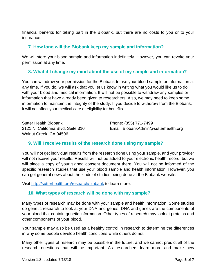financial benefits for taking part in the Biobank, but there are no costs to you or to your insurance.

#### <span id="page-4-0"></span>**7. How long will the Biobank keep my sample and information?**

We will store your blood sample and information indefinitely. However, you can revoke your permission at any time.

# <span id="page-4-1"></span>**8. What if I change my mind about the use of my sample and information?**

You can withdraw your permission for the Biobank to use your blood sample or information at any time. If you do, we will ask that you let us know in writing what you would like us to do with your blood and medical information. It will not be possible to withdraw any samples or information that have already been given to researchers. Also, we may need to keep some information to maintain the integrity of the study. If you decide to withdraw from the Biobank, it will not affect your medical care or eligibility for benefits.

Sutter Health Biobank **Phone: (855) 771-7499** Walnut Creek, CA 94596

2121 N. California Blvd, Suite 310 Email: BiobankAdmin@sutterhealth.org

#### <span id="page-4-2"></span>**9. Will I receive results of the research done using my sample?**

You will not get individual results from the research done using your sample, and your provider will not receive your results. Results will not be added to your electronic health record, but we will place a copy of your signed consent document there. You will not be informed of the specific research studies that use your blood sample and health information. However, you can get general news about the kinds of studies being done at the Biobank website.

Visit [http://sutterhealth.org/research/biobank](http://sutterhealth.org/about/research/biobank) to learn more.

#### <span id="page-4-3"></span>**10. What types of research will be done with my sample?**

Many types of research may be done with your sample and health information. Some studies do genetic research to look at your DNA and genes. DNA and genes are the components of your blood that contain genetic information. Other types of research may look at proteins and other components of your blood.

Your sample may also be used as a healthy control in research to determine the differences in why some people develop health conditions while others do not.

Many other types of research may be possible in the future, and we cannot predict all of the research questions that will be important. As researchers learn more and make new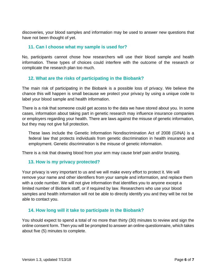discoveries, your blood samples and information may be used to answer new questions that have not been thought of yet.

#### <span id="page-5-0"></span>**11. Can I choose what my sample is used for?**

No, participants cannot chose how researchers will use their blood sample and health information. These types of choices could interfere with the outcome of the research or complicate the research plan too much.

#### <span id="page-5-1"></span>**12. What are the risks of participating in the Biobank?**

The main risk of participating in the Biobank is a possible loss of privacy. We believe the chance this will happen is small because we protect your privacy by using a unique code to label your blood sample and health information.

There is a risk that someone could get access to the data we have stored about you. In some cases, information about taking part in genetic research may influence insurance companies or employers regarding your health. There are laws against the misuse of genetic information, but they may not give full protection.

These laws include the Genetic Information Nondiscrimination Act of 2008 (GINA) is a federal law that protects individuals from genetic discrimination in health insurance and employment. Genetic discrimination is the misuse of genetic information.

There is a risk that drawing blood from your arm may cause brief pain and/or bruising.

#### <span id="page-5-2"></span>**13. How is my privacy protected?**

Your privacy is very important to us and we will make every effort to protect it. We will remove your name and other identifiers from your sample and information, and replace them with a code number. We will not give information that identifies you to anyone except a limited number of Biobank staff, or if required by law. Researchers who use your blood samples and health information will not be able to directly identify you and they will be not be able to contact you.

#### <span id="page-5-3"></span>**14. How long will it take to participate in the Biobank?**

You should expect to spend a total of no more than thirty (30) minutes to review and sign the online consent form. Then you will be prompted to answer an online questionnaire, which takes about five (5) minutes to complete.